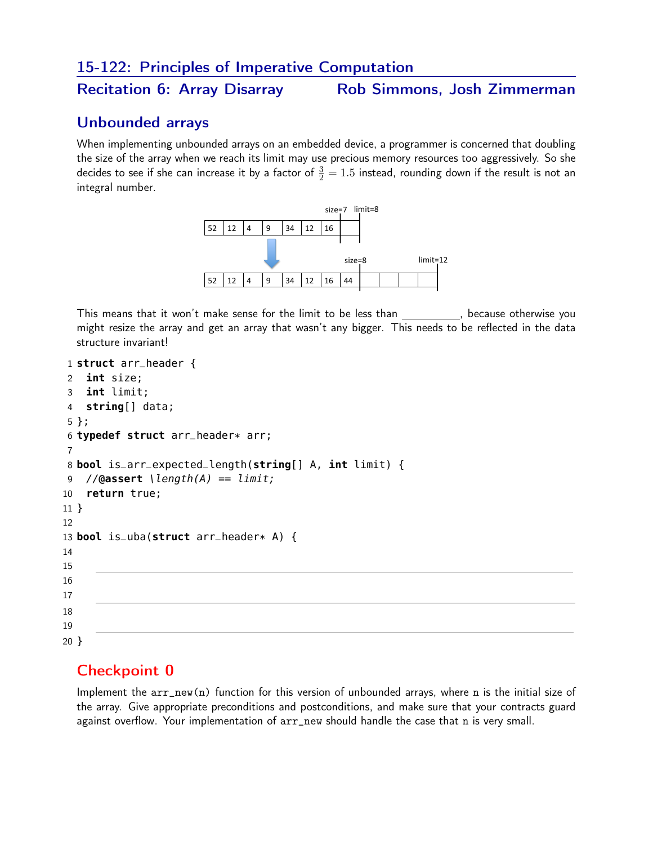#### 15-122: Principles of Imperative Computation

Recitation 6: Array Disarray Rob Simmons, Josh Zimmerman

#### Unbounded arrays

When implementing unbounded arrays on an embedded device, a programmer is concerned that doubling the size of the array when we reach its limit may use precious memory resources too aggressively. So she decides to see if she can increase it by a factor of  $\frac{3}{2}=1.5$  instead, rounding down if the result is not an integral number.



This means that it won't make sense for the limit to be less than , because otherwise you might resize the array and get an array that wasn't any bigger. This needs to be reflected in the data structure invariant!

```
1 struct arr_header {
2 int size;
3 int limit;
4 string[] data;
5 };
6 typedef struct arr_header* arr;
7
8 bool is_arr_expected_length(string[] A, int limit) {
9 //@assert \length(A) == limit;
10 return true;
11 }
12
13 bool is_uba(struct arr_header* A) {
14
15
16
17
18
19
20 }
```
# Checkpoint 0

Implement the arr\_new(n) function for this version of unbounded arrays, where n is the initial size of the array. Give appropriate preconditions and postconditions, and make sure that your contracts guard against overflow. Your implementation of arr\_new should handle the case that n is very small.